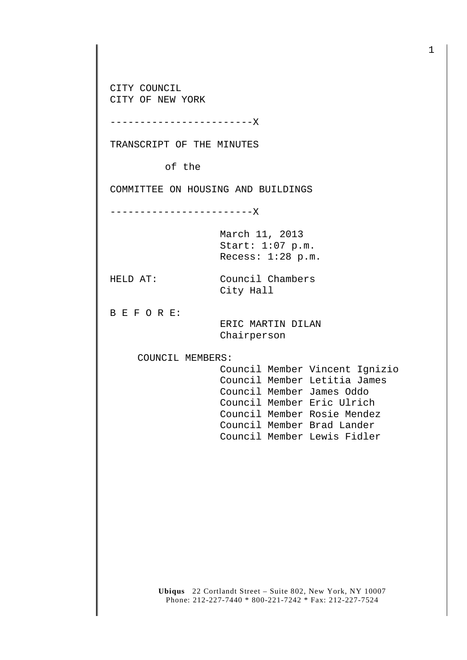CITY COUNCIL CITY OF NEW YORK

------------------------X

TRANSCRIPT OF THE MINUTES

of the

COMMITTEE ON HOUSING AND BUILDINGS

------------------------X

March 11, 2013 Start: 1:07 p.m. Recess: 1:28 p.m.

HELD AT: Council Chambers City Hall

B E F O R E:

 ERIC MARTIN DILAN Chairperson

COUNCIL MEMBERS:

 Council Member Vincent Ignizio Council Member Letitia James Council Member James Oddo Council Member Eric Ulrich Council Member Rosie Mendez Council Member Brad Lander Council Member Lewis Fidler

**Ubiqus** 22 Cortlandt Street – Suite 802, New York, NY 10007 Phone: 212-227-7440 \* 800-221-7242 \* Fax: 212-227-7524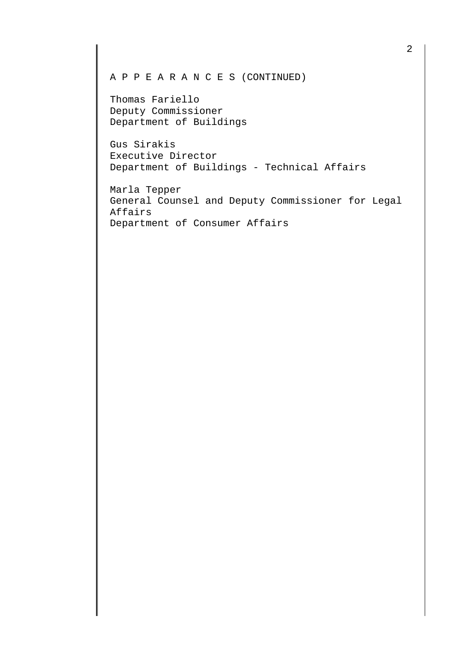A P P E A R A N C E S (CONTINUED)

Thomas Fariello Deputy Commissioner Department of Buildings

Gus Sirakis Executive Director Department of Buildings - Technical Affairs

Marla Tepper General Counsel and Deputy Commissioner for Legal Affairs Department of Consumer Affairs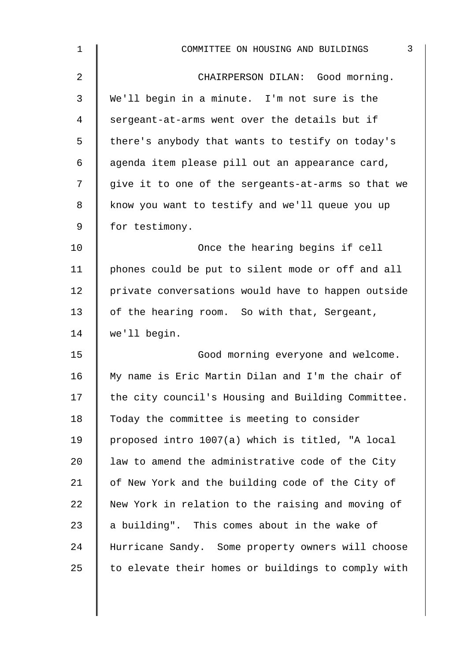| $\mathbf{1}$ | $\mathfrak{Z}$<br>COMMITTEE ON HOUSING AND BUILDINGS |
|--------------|------------------------------------------------------|
| 2            | CHAIRPERSON DILAN: Good morning.                     |
| 3            | We'll begin in a minute. I'm not sure is the         |
| 4            | sergeant-at-arms went over the details but if        |
| 5            | there's anybody that wants to testify on today's     |
| 6            | agenda item please pill out an appearance card,      |
| 7            | give it to one of the sergeants-at-arms so that we   |
| 8            | know you want to testify and we'll queue you up      |
| 9            | for testimony.                                       |
| 10           | Once the hearing begins if cell                      |
| 11           | phones could be put to silent mode or off and all    |
| 12           | private conversations would have to happen outside   |
| 13           | of the hearing room. So with that, Sergeant,         |
| 14           | we'll begin.                                         |
| 15           | Good morning everyone and welcome.                   |
| 16           | My name is Eric Martin Dilan and I'm the chair of    |
| 17           | the city council's Housing and Building Committee.   |
| 18           | Today the committee is meeting to consider           |
| 19           | proposed intro 1007(a) which is titled, "A local     |
| $20 \,$      | law to amend the administrative code of the City     |
| 21           | of New York and the building code of the City of     |
| 22           | New York in relation to the raising and moving of    |
| 23           | a building". This comes about in the wake of         |
| 24           | Hurricane Sandy. Some property owners will choose    |
| 25           | to elevate their homes or buildings to comply with   |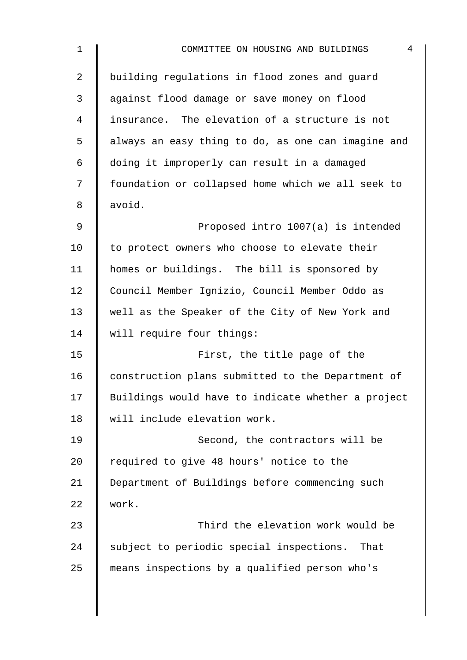| $\mathbf 1$    | $\overline{4}$<br>COMMITTEE ON HOUSING AND BUILDINGS |
|----------------|------------------------------------------------------|
| $\overline{2}$ | building regulations in flood zones and guard        |
| 3              | against flood damage or save money on flood          |
| $\overline{4}$ | insurance. The elevation of a structure is not       |
| 5              | always an easy thing to do, as one can imagine and   |
| 6              | doing it improperly can result in a damaged          |
| 7              | foundation or collapsed home which we all seek to    |
| 8              | avoid.                                               |
| 9              | Proposed intro 1007(a) is intended                   |
| 10             | to protect owners who choose to elevate their        |
| 11             | homes or buildings. The bill is sponsored by         |
| 12             | Council Member Ignizio, Council Member Oddo as       |
| 13             | well as the Speaker of the City of New York and      |
| 14             | will require four things:                            |
| 15             | First, the title page of the                         |
| 16             | construction plans submitted to the Department of    |
| 17             | Buildings would have to indicate whether a project   |
| 18             | will include elevation work.                         |
| 19             | Second, the contractors will be                      |
| 20             | required to give 48 hours' notice to the             |
| 21             | Department of Buildings before commencing such       |
| 22             | work.                                                |
| 23             | Third the elevation work would be                    |
| 24             | subject to periodic special inspections. That        |
| 25             | means inspections by a qualified person who's        |
|                |                                                      |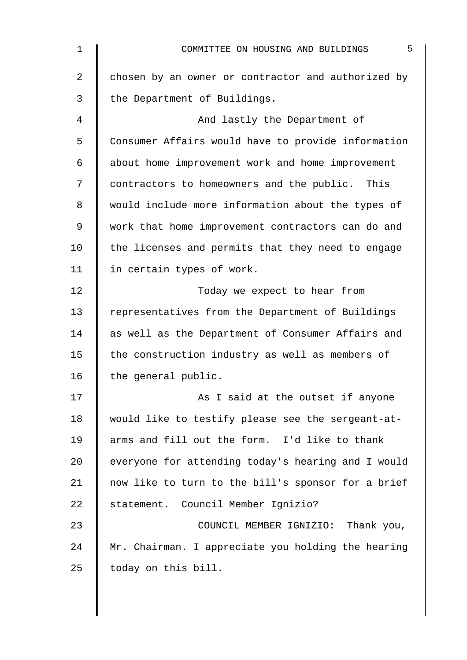| $\mathbf 1$ | 5<br>COMMITTEE ON HOUSING AND BUILDINGS            |
|-------------|----------------------------------------------------|
| 2           | chosen by an owner or contractor and authorized by |
| 3           | the Department of Buildings.                       |
| 4           | And lastly the Department of                       |
| 5           | Consumer Affairs would have to provide information |
| 6           | about home improvement work and home improvement   |
| 7           | contractors to homeowners and the public. This     |
| 8           | would include more information about the types of  |
| 9           | work that home improvement contractors can do and  |
| 10          | the licenses and permits that they need to engage  |
| 11          | in certain types of work.                          |
| 12          | Today we expect to hear from                       |
| 13          | representatives from the Department of Buildings   |
| 14          | as well as the Department of Consumer Affairs and  |
| 15          | the construction industry as well as members of    |
| 16          | the general public.                                |
| 17          | As I said at the outset if anyone                  |
| 18          | would like to testify please see the sergeant-at-  |
| 19          | arms and fill out the form. I'd like to thank      |
| 20          | everyone for attending today's hearing and I would |
| 21          | now like to turn to the bill's sponsor for a brief |
| 22          | statement. Council Member Ignizio?                 |
| 23          | COUNCIL MEMBER IGNIZIO: Thank you,                 |
| 24          | Mr. Chairman. I appreciate you holding the hearing |
| 25          | today on this bill.                                |
|             |                                                    |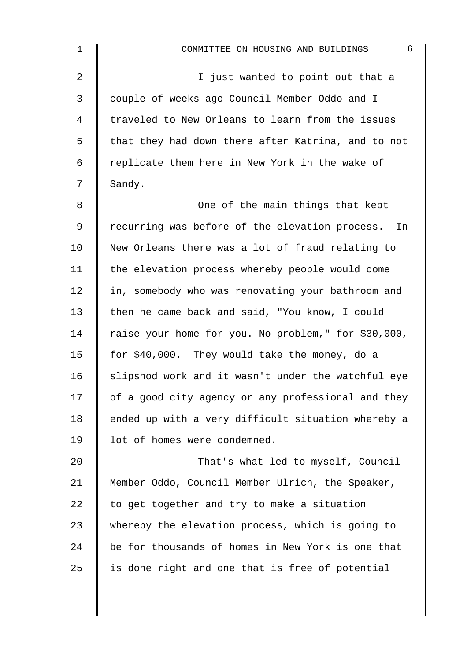| $\mathbf 1$ | $6\,$<br>COMMITTEE ON HOUSING AND BUILDINGS         |
|-------------|-----------------------------------------------------|
| 2           | I just wanted to point out that a                   |
| 3           | couple of weeks ago Council Member Oddo and I       |
| 4           | traveled to New Orleans to learn from the issues    |
| 5           | that they had down there after Katrina, and to not  |
| 6           | replicate them here in New York in the wake of      |
| 7           | Sandy.                                              |
| 8           | One of the main things that kept                    |
| 9           | recurring was before of the elevation process. In   |
| 10          | New Orleans there was a lot of fraud relating to    |
| 11          | the elevation process whereby people would come     |
| 12          | in, somebody who was renovating your bathroom and   |
| 13          | then he came back and said, "You know, I could      |
| 14          | raise your home for you. No problem," for \$30,000, |
| 15          | for \$40,000. They would take the money, do a       |
| 16          | slipshod work and it wasn't under the watchful eye  |
| 17          | of a good city agency or any professional and they  |
| 18          | ended up with a very difficult situation whereby a  |
| 19          | lot of homes were condemned.                        |
| 20          | That's what led to myself, Council                  |
| 21          | Member Oddo, Council Member Ulrich, the Speaker,    |
| 22          | to get together and try to make a situation         |
| 23          | whereby the elevation process, which is going to    |
| 24          | be for thousands of homes in New York is one that   |
| 25          | is done right and one that is free of potential     |
|             |                                                     |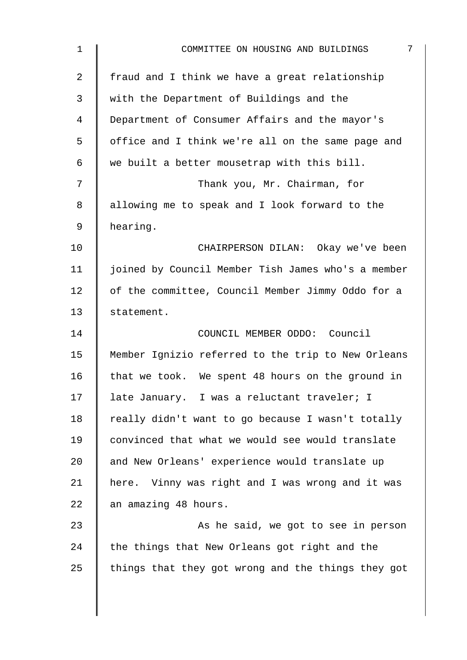| $\mathbf 1$    | 7<br>COMMITTEE ON HOUSING AND BUILDINGS            |
|----------------|----------------------------------------------------|
| $\overline{2}$ | fraud and I think we have a great relationship     |
| 3              | with the Department of Buildings and the           |
| $\overline{4}$ | Department of Consumer Affairs and the mayor's     |
| 5              | office and I think we're all on the same page and  |
| 6              | we built a better mousetrap with this bill.        |
| 7              | Thank you, Mr. Chairman, for                       |
| 8              | allowing me to speak and I look forward to the     |
| 9              | hearing.                                           |
| 10             | CHAIRPERSON DILAN: Okay we've been                 |
| 11             | joined by Council Member Tish James who's a member |
| 12             | of the committee, Council Member Jimmy Oddo for a  |
| 13             | statement.                                         |
| 14             | COUNCIL MEMBER ODDO: Council                       |
| 15             | Member Ignizio referred to the trip to New Orleans |
| 16             | that we took. We spent 48 hours on the ground in   |
| 17             | late January. I was a reluctant traveler; I        |
| 18             | really didn't want to go because I wasn't totally  |
| 19             | convinced that what we would see would translate   |
| 20             | and New Orleans' experience would translate up     |
| 21             | here. Vinny was right and I was wrong and it was   |
| 22             | an amazing 48 hours.                               |
| 23             | As he said, we got to see in person                |
| 24             | the things that New Orleans got right and the      |
| 25             | things that they got wrong and the things they got |
|                |                                                    |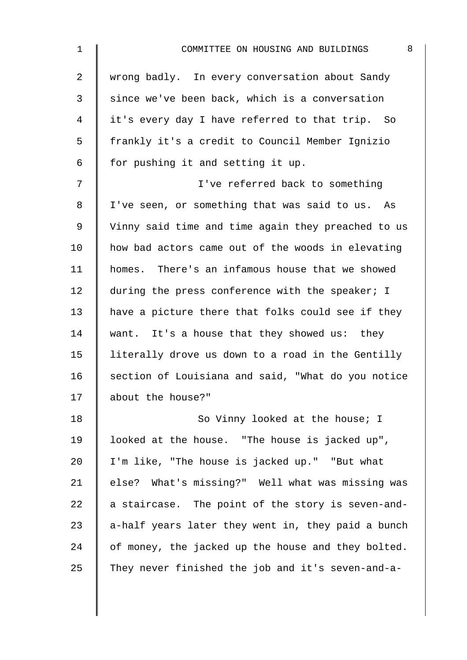| 8<br>COMMITTEE ON HOUSING AND BUILDINGS            |
|----------------------------------------------------|
| wrong badly. In every conversation about Sandy     |
| since we've been back, which is a conversation     |
| it's every day I have referred to that trip. So    |
| frankly it's a credit to Council Member Ignizio    |
| for pushing it and setting it up.                  |
| I've referred back to something                    |
| I've seen, or something that was said to us. As    |
| Vinny said time and time again they preached to us |
| how bad actors came out of the woods in elevating  |
| homes. There's an infamous house that we showed    |
| during the press conference with the speaker; I    |
| have a picture there that folks could see if they  |
| want. It's a house that they showed us: they       |
| literally drove us down to a road in the Gentilly  |
| section of Louisiana and said, "What do you notice |
| about the house?"                                  |
| So Vinny looked at the house; I                    |
| looked at the house. "The house is jacked up",     |
| I'm like, "The house is jacked up." "But what      |
| else? What's missing?" Well what was missing was   |
| a staircase. The point of the story is seven-and-  |
| a-half years later they went in, they paid a bunch |
| of money, the jacked up the house and they bolted. |
| They never finished the job and it's seven-and-a-  |
|                                                    |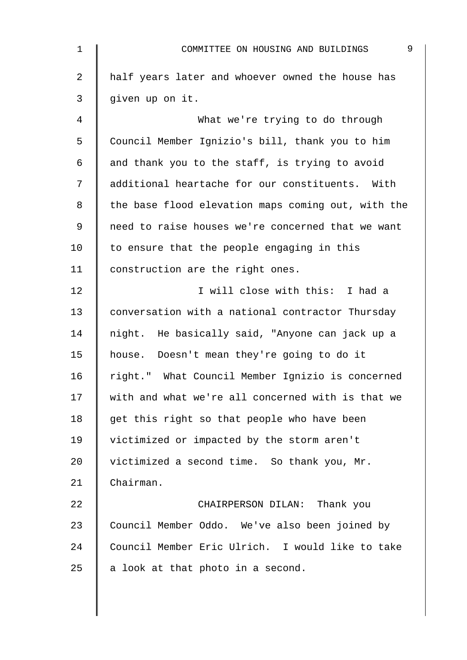| $\mathbf 1$    | 9<br>COMMITTEE ON HOUSING AND BUILDINGS            |
|----------------|----------------------------------------------------|
| $\overline{2}$ | half years later and whoever owned the house has   |
| 3              | given up on it.                                    |
| 4              | What we're trying to do through                    |
| 5              | Council Member Ignizio's bill, thank you to him    |
| 6              | and thank you to the staff, is trying to avoid     |
| 7              | additional heartache for our constituents. With    |
| 8              | the base flood elevation maps coming out, with the |
| 9              | need to raise houses we're concerned that we want  |
| 10             | to ensure that the people engaging in this         |
| 11             | construction are the right ones.                   |
| 12             | I will close with this: I had a                    |
| 13             | conversation with a national contractor Thursday   |
| 14             | night. He basically said, "Anyone can jack up a    |
| 15             | house. Doesn't mean they're going to do it         |
| 16             | right." What Council Member Ignizio is concerned   |
| 17             | with and what we're all concerned with is that we  |
| 18             | get this right so that people who have been        |
| 19             | victimized or impacted by the storm aren't         |
| 20             | victimized a second time. So thank you, Mr.        |
| 21             | Chairman.                                          |
| 22             | CHAIRPERSON DILAN: Thank you                       |
| 23             | Council Member Oddo. We've also been joined by     |
| 24             | Council Member Eric Ulrich. I would like to take   |
| 25             | a look at that photo in a second.                  |
|                |                                                    |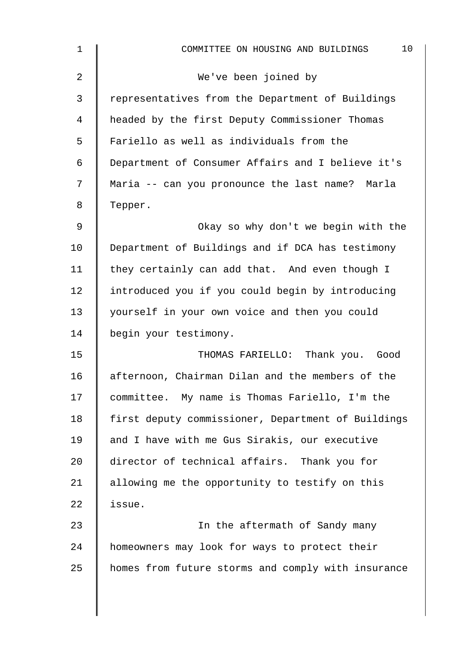| $\mathbf 1$    | 10<br>COMMITTEE ON HOUSING AND BUILDINGS           |
|----------------|----------------------------------------------------|
| $\overline{2}$ | We've been joined by                               |
| 3              | representatives from the Department of Buildings   |
| 4              | headed by the first Deputy Commissioner Thomas     |
| 5              | Fariello as well as individuals from the           |
| 6              | Department of Consumer Affairs and I believe it's  |
| 7              | Maria -- can you pronounce the last name? Marla    |
| 8              | Tepper.                                            |
| 9              | Okay so why don't we begin with the                |
| 10             | Department of Buildings and if DCA has testimony   |
| 11             | they certainly can add that. And even though I     |
| 12             | introduced you if you could begin by introducing   |
| 13             | yourself in your own voice and then you could      |
| 14             | begin your testimony.                              |
| 15             | THOMAS FARIELLO: Thank you. Good                   |
| 16             | afternoon, Chairman Dilan and the members of the   |
| 17             | committee. My name is Thomas Fariello, I'm the     |
| 18             | first deputy commissioner, Department of Buildings |
| 19             | and I have with me Gus Sirakis, our executive      |
| 20             | director of technical affairs. Thank you for       |
| 21             | allowing me the opportunity to testify on this     |
| 22             | issue.                                             |
| 23             | In the aftermath of Sandy many                     |
| 24             | homeowners may look for ways to protect their      |
| 25             | homes from future storms and comply with insurance |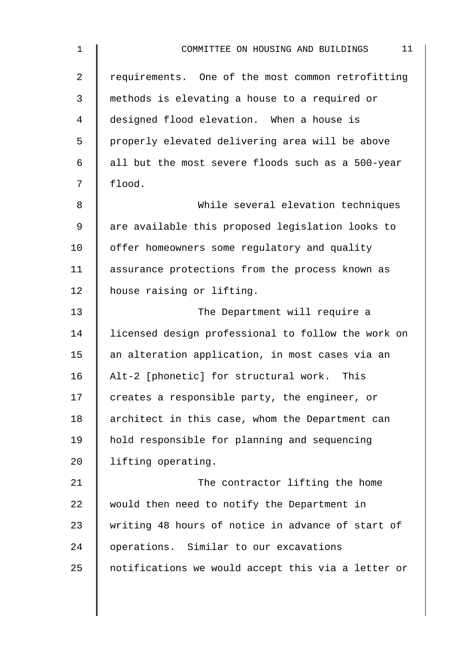| 1  | 11<br>COMMITTEE ON HOUSING AND BUILDINGS           |
|----|----------------------------------------------------|
| 2  | requirements. One of the most common retrofitting  |
| 3  | methods is elevating a house to a required or      |
| 4  | designed flood elevation. When a house is          |
| 5  | properly elevated delivering area will be above    |
| 6  | all but the most severe floods such as a 500-year  |
| 7  | flood.                                             |
| 8  | While several elevation techniques                 |
| 9  | are available this proposed legislation looks to   |
| 10 | offer homeowners some regulatory and quality       |
| 11 | assurance protections from the process known as    |
| 12 | house raising or lifting.                          |
| 13 | The Department will require a                      |
| 14 | licensed design professional to follow the work on |
| 15 | an alteration application, in most cases via an    |
| 16 | Alt-2 [phonetic] for structural work. This         |
| 17 | creates a responsible party, the engineer, or      |
| 18 | architect in this case, whom the Department can    |
| 19 | hold responsible for planning and sequencing       |
| 20 | lifting operating.                                 |
| 21 | The contractor lifting the home                    |
| 22 | would then need to notify the Department in        |
| 23 | writing 48 hours of notice in advance of start of  |
| 24 | operations. Similar to our excavations             |
| 25 | notifications we would accept this via a letter or |
|    |                                                    |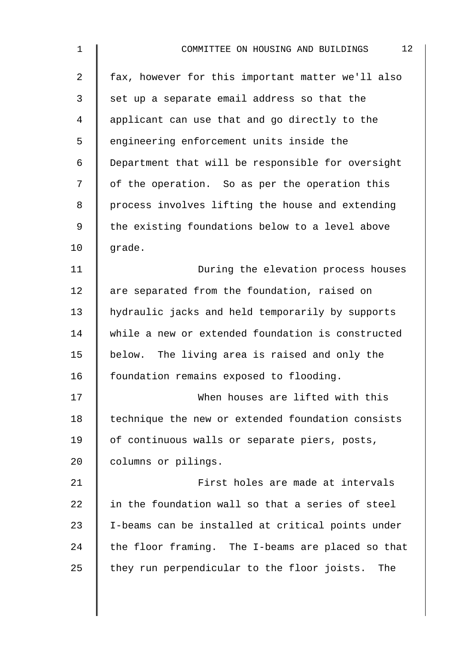| $\mathbf 1$ | 12<br>COMMITTEE ON HOUSING AND BUILDINGS           |
|-------------|----------------------------------------------------|
| 2           | fax, however for this important matter we'll also  |
| 3           | set up a separate email address so that the        |
| 4           | applicant can use that and go directly to the      |
| 5           | engineering enforcement units inside the           |
| 6           | Department that will be responsible for oversight  |
| 7           | of the operation. So as per the operation this     |
| 8           | process involves lifting the house and extending   |
| $\mathsf 9$ | the existing foundations below to a level above    |
| 10          | qrade.                                             |
| 11          | During the elevation process houses                |
| 12          | are separated from the foundation, raised on       |
| 13          | hydraulic jacks and held temporarily by supports   |
| 14          | while a new or extended foundation is constructed  |
| 15          | below. The living area is raised and only the      |
| 16          | foundation remains exposed to flooding.            |
| 17          | When houses are lifted with this                   |
| 18          | technique the new or extended foundation consists  |
| 19          | of continuous walls or separate piers, posts,      |
| 20          | columns or pilings.                                |
| 21          | First holes are made at intervals                  |
| 22          | in the foundation wall so that a series of steel   |
| 23          | I-beams can be installed at critical points under  |
| 24          | the floor framing. The I-beams are placed so that  |
| 25          | they run perpendicular to the floor joists.<br>The |
|             |                                                    |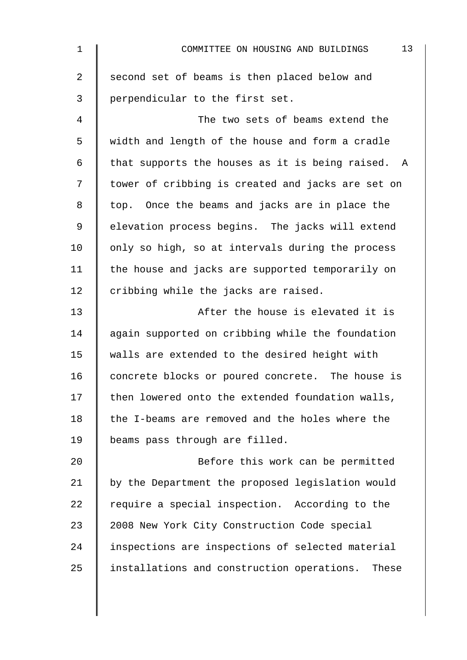| $\mathbf 1$    | 13<br>COMMITTEE ON HOUSING AND BUILDINGS            |
|----------------|-----------------------------------------------------|
| $\overline{2}$ | second set of beams is then placed below and        |
| 3              | perpendicular to the first set.                     |
| 4              | The two sets of beams extend the                    |
| 5              | width and length of the house and form a cradle     |
| 6              | that supports the houses as it is being raised. A   |
| 7              | tower of cribbing is created and jacks are set on   |
| 8              | top. Once the beams and jacks are in place the      |
| 9              | elevation process begins. The jacks will extend     |
| 10             | only so high, so at intervals during the process    |
| 11             | the house and jacks are supported temporarily on    |
| 12             | cribbing while the jacks are raised.                |
| 13             | After the house is elevated it is                   |
| 14             | again supported on cribbing while the foundation    |
| 15             | walls are extended to the desired height with       |
| 16             | concrete blocks or poured concrete. The house is    |
| 17             | then lowered onto the extended foundation walls,    |
| 18             | the I-beams are removed and the holes where the     |
| 19             | beams pass through are filled.                      |
| 20             | Before this work can be permitted                   |
| 21             | by the Department the proposed legislation would    |
| 22             | require a special inspection. According to the      |
| 23             | 2008 New York City Construction Code special        |
| 24             | inspections are inspections of selected material    |
| 25             | installations and construction operations.<br>These |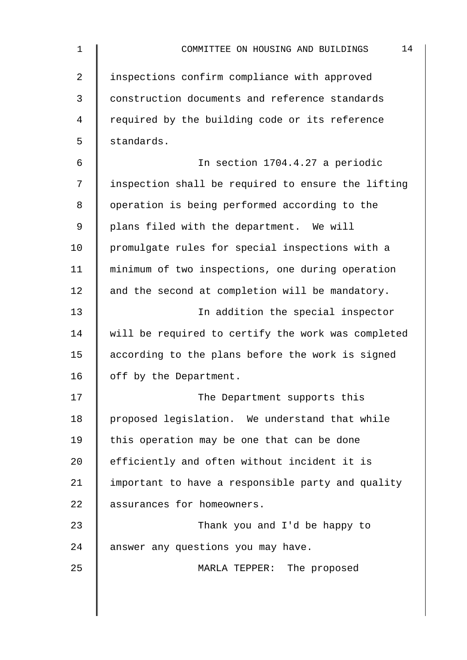| $\mathbf 1$ | 14<br>COMMITTEE ON HOUSING AND BUILDINGS           |
|-------------|----------------------------------------------------|
| 2           | inspections confirm compliance with approved       |
| 3           | construction documents and reference standards     |
| 4           | required by the building code or its reference     |
| 5           | standards.                                         |
| 6           | In section 1704.4.27 a periodic                    |
| 7           | inspection shall be required to ensure the lifting |
| 8           | operation is being performed according to the      |
| 9           | plans filed with the department. We will           |
| 10          | promulgate rules for special inspections with a    |
| 11          | minimum of two inspections, one during operation   |
| 12          | and the second at completion will be mandatory.    |
| 13          | In addition the special inspector                  |
| 14          | will be required to certify the work was completed |
| 15          | according to the plans before the work is signed   |
| 16          | off by the Department.                             |
| 17          | The Department supports this                       |
| 18          | proposed legislation. We understand that while     |
| 19          | this operation may be one that can be done         |
| 20          | efficiently and often without incident it is       |
| 21          | important to have a responsible party and quality  |
| 22          | assurances for homeowners.                         |
| 23          | Thank you and I'd be happy to                      |
| 24          | answer any questions you may have.                 |
| 25          | MARLA TEPPER: The proposed                         |
|             |                                                    |
|             |                                                    |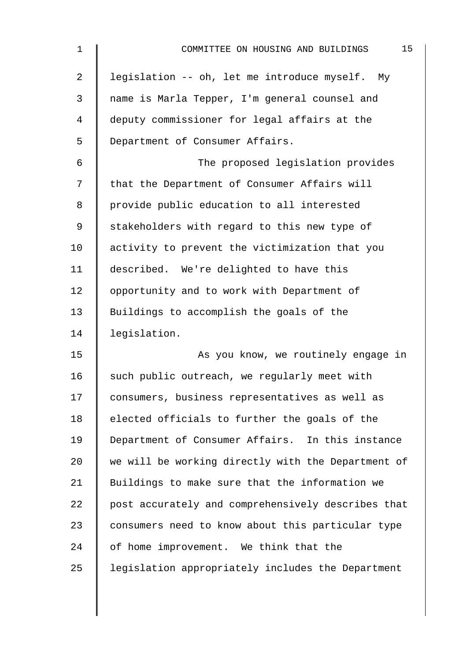| $\mathbf 1$    | 15<br>COMMITTEE ON HOUSING AND BUILDINGS           |
|----------------|----------------------------------------------------|
| $\overline{2}$ | legislation -- oh, let me introduce myself. My     |
| 3              | name is Marla Tepper, I'm general counsel and      |
| 4              | deputy commissioner for legal affairs at the       |
| 5              | Department of Consumer Affairs.                    |
| 6              | The proposed legislation provides                  |
| 7              | that the Department of Consumer Affairs will       |
| 8              | provide public education to all interested         |
| 9              | stakeholders with regard to this new type of       |
| 10             | activity to prevent the victimization that you     |
| 11             | described. We're delighted to have this            |
| 12             | opportunity and to work with Department of         |
| 13             | Buildings to accomplish the goals of the           |
| 14             | legislation.                                       |
| 15             | As you know, we routinely engage in                |
| 16             | such public outreach, we regularly meet with       |
| 17             | consumers, business representatives as well as     |
| 18             | elected officials to further the goals of the      |
| 19             | Department of Consumer Affairs. In this instance   |
| 20             | we will be working directly with the Department of |
| 21             | Buildings to make sure that the information we     |
| 22             | post accurately and comprehensively describes that |
| 23             | consumers need to know about this particular type  |
| 24             | of home improvement. We think that the             |
| 25             | legislation appropriately includes the Department  |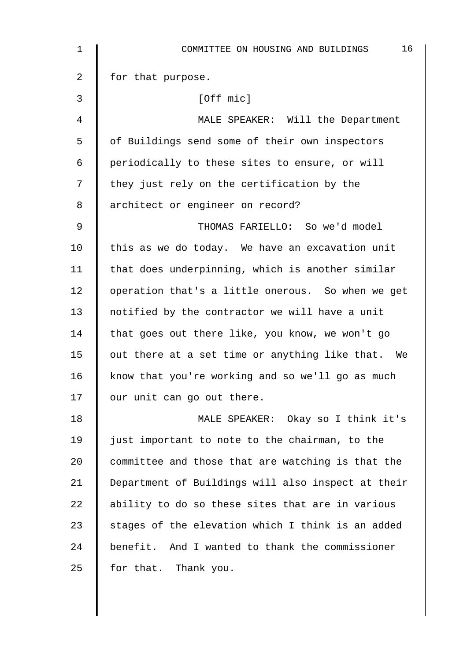| 1            | 16<br>COMMITTEE ON HOUSING AND BUILDINGS           |
|--------------|----------------------------------------------------|
| 2            | for that purpose.                                  |
| $\mathbf{3}$ | [Off mic]                                          |
| 4            | MALE SPEAKER: Will the Department                  |
| 5            | of Buildings send some of their own inspectors     |
| 6            | periodically to these sites to ensure, or will     |
| 7            | they just rely on the certification by the         |
| 8            | architect or engineer on record?                   |
| 9            | THOMAS FARIELLO: So we'd model                     |
| 10           | this as we do today. We have an excavation unit    |
| 11           | that does underpinning, which is another similar   |
| 12           | operation that's a little onerous. So when we get  |
| 13           | notified by the contractor we will have a unit     |
| 14           | that goes out there like, you know, we won't go    |
| 15           | out there at a set time or anything like that. We  |
| 16           | know that you're working and so we'll go as much   |
| 17           | our unit can go out there.                         |
| 18           | MALE SPEAKER: Okay so I think it's                 |
| 19           | just important to note to the chairman, to the     |
| 20           | committee and those that are watching is that the  |
| 21           | Department of Buildings will also inspect at their |
| 22           | ability to do so these sites that are in various   |
| 23           | stages of the elevation which I think is an added  |
| 24           | benefit. And I wanted to thank the commissioner    |
| 25           | for that. Thank you.                               |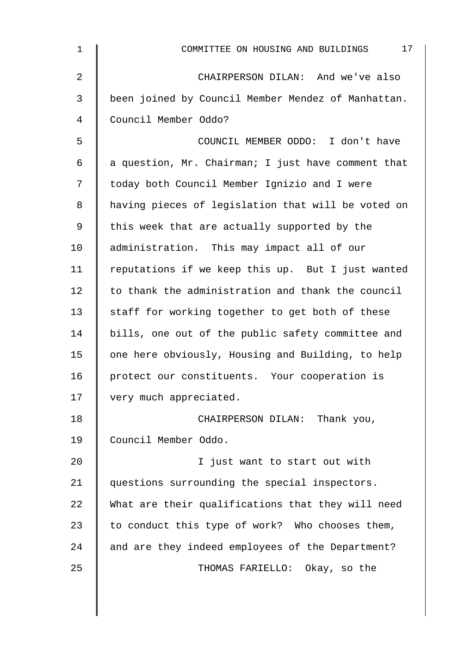| $\mathbf 1$    | 17<br>COMMITTEE ON HOUSING AND BUILDINGS           |
|----------------|----------------------------------------------------|
| $\overline{2}$ | CHAIRPERSON DILAN: And we've also                  |
| 3              | been joined by Council Member Mendez of Manhattan. |
| $\overline{4}$ | Council Member Oddo?                               |
| 5              | COUNCIL MEMBER ODDO: I don't have                  |
| 6              | a question, Mr. Chairman; I just have comment that |
| 7              | today both Council Member Ignizio and I were       |
| 8              | having pieces of legislation that will be voted on |
| $\mathsf 9$    | this week that are actually supported by the       |
| 10             | administration. This may impact all of our         |
| 11             | reputations if we keep this up. But I just wanted  |
| 12             | to thank the administration and thank the council  |
| 13             | staff for working together to get both of these    |
| 14             | bills, one out of the public safety committee and  |
| 15             | one here obviously, Housing and Building, to help  |
| 16             | protect our constituents. Your cooperation is      |
| 17             | very much appreciated.                             |
| 18             | CHAIRPERSON DILAN: Thank you,                      |
| 19             | Council Member Oddo.                               |
| 20             | I just want to start out with                      |
| 21             | questions surrounding the special inspectors.      |
| 22             | What are their qualifications that they will need  |
| 23             | to conduct this type of work? Who chooses them,    |
| 24             | and are they indeed employees of the Department?   |
| 25             | THOMAS FARIELLO: Okay, so the                      |
|                |                                                    |
|                |                                                    |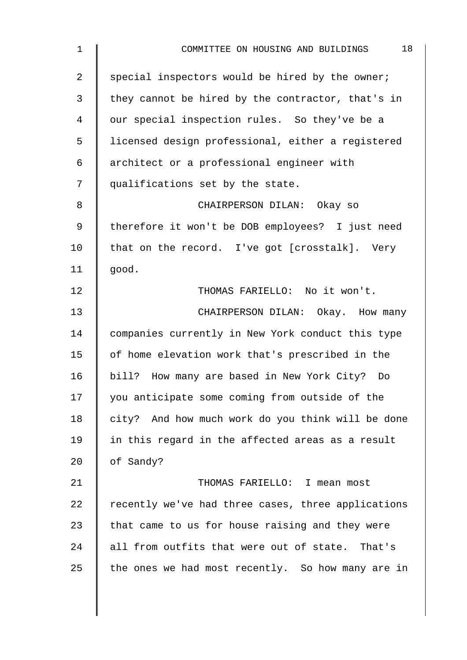| 18<br>COMMITTEE ON HOUSING AND BUILDINGS           |
|----------------------------------------------------|
| special inspectors would be hired by the owner;    |
| they cannot be hired by the contractor, that's in  |
| our special inspection rules. So they've be a      |
| licensed design professional, either a registered  |
| architect or a professional engineer with          |
| qualifications set by the state.                   |
| CHAIRPERSON DILAN: Okay so                         |
| therefore it won't be DOB employees? I just need   |
| that on the record. I've got [crosstalk]. Very     |
| good.                                              |
| THOMAS FARIELLO: No it won't.                      |
| CHAIRPERSON DILAN: Okay. How many                  |
| companies currently in New York conduct this type  |
| of home elevation work that's prescribed in the    |
| bill? How many are based in New York City? Do      |
| you anticipate some coming from outside of the     |
| city? And how much work do you think will be done  |
| in this regard in the affected areas as a result   |
| of Sandy?                                          |
| THOMAS FARIELLO: I mean most                       |
| recently we've had three cases, three applications |
| that came to us for house raising and they were    |
| all from outfits that were out of state. That's    |
| the ones we had most recently. So how many are in  |
|                                                    |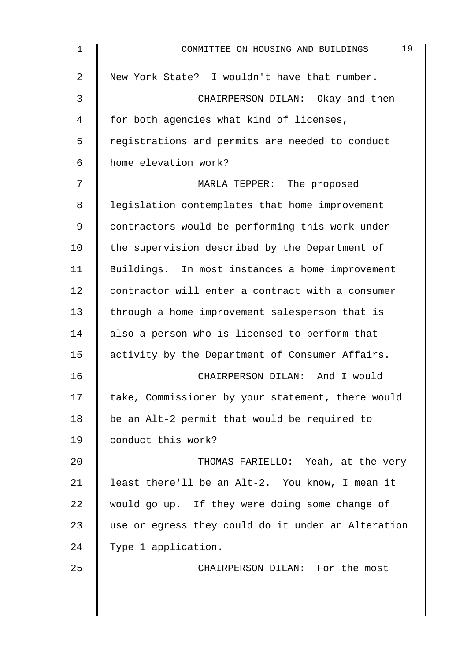| 1              | 19<br>COMMITTEE ON HOUSING AND BUILDINGS           |
|----------------|----------------------------------------------------|
| $\overline{2}$ | New York State? I wouldn't have that number.       |
| 3              | CHAIRPERSON DILAN: Okay and then                   |
| 4              | for both agencies what kind of licenses,           |
| 5              | registrations and permits are needed to conduct    |
| 6              | home elevation work?                               |
| 7              | MARLA TEPPER: The proposed                         |
| 8              | legislation contemplates that home improvement     |
| 9              | contractors would be performing this work under    |
| 10             | the supervision described by the Department of     |
| 11             | Buildings. In most instances a home improvement    |
| 12             | contractor will enter a contract with a consumer   |
| 13             | through a home improvement salesperson that is     |
| 14             | also a person who is licensed to perform that      |
| 15             | activity by the Department of Consumer Affairs.    |
| 16             | CHAIRPERSON DILAN: And I would                     |
| 17             | take, Commissioner by your statement, there would  |
| 18             | be an Alt-2 permit that would be required to       |
| 19             | conduct this work?                                 |
| 20             | THOMAS FARIELLO: Yeah, at the very                 |
| 21             | least there'll be an Alt-2. You know, I mean it    |
| 22             | would go up. If they were doing some change of     |
| 23             | use or egress they could do it under an Alteration |
| 24             | Type 1 application.                                |
| 25             | CHAIRPERSON DILAN: For the most                    |
|                |                                                    |
|                |                                                    |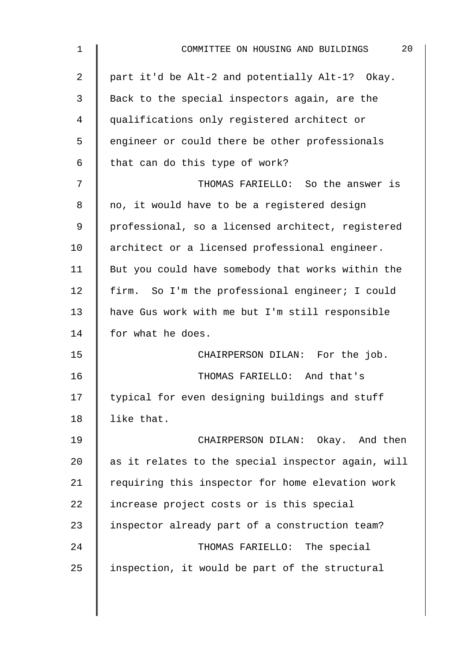| $\mathbf 1$ | 20<br>COMMITTEE ON HOUSING AND BUILDINGS           |
|-------------|----------------------------------------------------|
| 2           | part it'd be Alt-2 and potentially Alt-1? Okay.    |
| 3           | Back to the special inspectors again, are the      |
| 4           | qualifications only registered architect or        |
| 5           | engineer or could there be other professionals     |
| 6           | that can do this type of work?                     |
| 7           | THOMAS FARIELLO: So the answer is                  |
| 8           | no, it would have to be a registered design        |
| 9           | professional, so a licensed architect, registered  |
| 10          | architect or a licensed professional engineer.     |
| 11          | But you could have somebody that works within the  |
| 12          | firm. So I'm the professional engineer; I could    |
| 13          | have Gus work with me but I'm still responsible    |
| 14          | for what he does.                                  |
| 15          | CHAIRPERSON DILAN: For the job.                    |
| 16          | THOMAS FARIELLO: And that's                        |
| 17          | typical for even designing buildings and stuff     |
| 18          | like that.                                         |
| 19          | CHAIRPERSON DILAN: Okay. And then                  |
| 20          | as it relates to the special inspector again, will |
| 21          | requiring this inspector for home elevation work   |
| 22          | increase project costs or is this special          |
| 23          | inspector already part of a construction team?     |
| 24          | THOMAS FARIELLO: The special                       |
| 25          | inspection, it would be part of the structural     |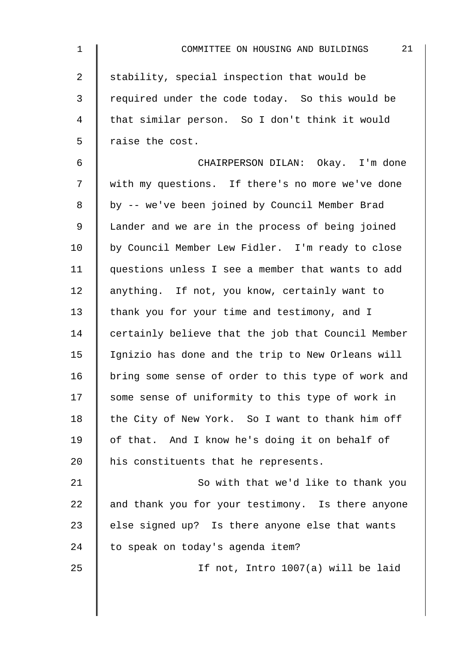| $\mathbf 1$    | 21<br>COMMITTEE ON HOUSING AND BUILDINGS           |
|----------------|----------------------------------------------------|
| $\overline{a}$ | stability, special inspection that would be        |
| 3              | required under the code today. So this would be    |
| 4              | that similar person. So I don't think it would     |
| 5              | raise the cost.                                    |
| 6              | CHAIRPERSON DILAN: Okay. I'm done                  |
| 7              | with my questions. If there's no more we've done   |
| 8              | by -- we've been joined by Council Member Brad     |
| $\mathsf 9$    | Lander and we are in the process of being joined   |
| 10             | by Council Member Lew Fidler. I'm ready to close   |
| 11             | questions unless I see a member that wants to add  |
| 12             | anything. If not, you know, certainly want to      |
| 13             | thank you for your time and testimony, and I       |
| 14             | certainly believe that the job that Council Member |
| 15             | Ignizio has done and the trip to New Orleans will  |
| 16             | bring some sense of order to this type of work and |
| 17             | some sense of uniformity to this type of work in   |
| 18             | the City of New York. So I want to thank him off   |
| 19             | of that. And I know he's doing it on behalf of     |
| 20             | his constituents that he represents.               |
| 21             | So with that we'd like to thank you                |
| 22             | and thank you for your testimony. Is there anyone  |
| 23             | else signed up? Is there anyone else that wants    |
| 24             | to speak on today's agenda item?                   |
| 25             | If not, Intro 1007(a) will be laid                 |
|                |                                                    |
|                |                                                    |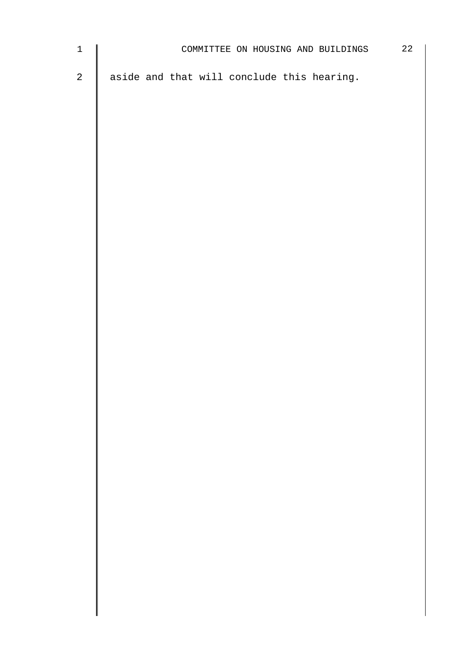| $1 \parallel$ | COMMITTEE ON HOUSING AND BUILDINGS             | $2.2^{\circ}$ |
|---------------|------------------------------------------------|---------------|
|               | 2   aside and that will conclude this hearing. |               |